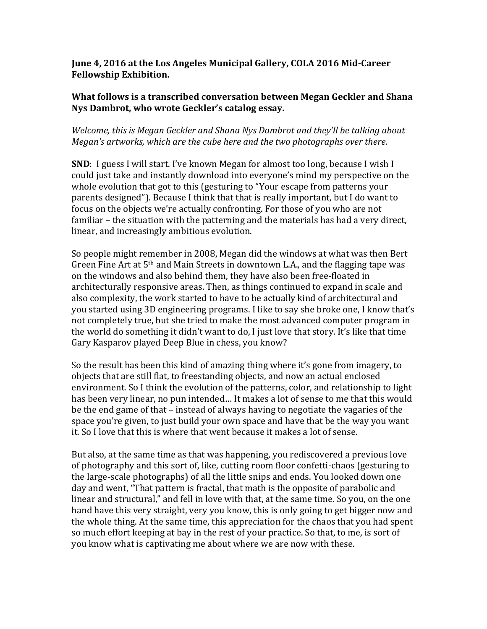## June 4, 2016 at the Los Angeles Municipal Gallery, COLA 2016 Mid-Career **Fellowship Exhibition.**

## **What follows is a transcribed conversation between Megan Geckler and Shana** Nys Dambrot, who wrote Geckler's catalog essay.

# *Welcome, this is Megan Geckler and Shana Nys Dambrot and they'll be talking about Megan's artworks, which are the cube here and the two photographs over there.*

**SND**: I guess I will start. I've known Megan for almost too long, because I wish I could just take and instantly download into everyone's mind my perspective on the whole evolution that got to this (gesturing to "Your escape from patterns your parents designed"). Because I think that that is really important, but I do want to focus on the objects we're actually confronting. For those of you who are not familiar – the situation with the patterning and the materials has had a very direct, linear, and increasingly ambitious evolution.

So people might remember in 2008, Megan did the windows at what was then Bert Green Fine Art at  $5<sup>th</sup>$  and Main Streets in downtown L.A., and the flagging tape was on the windows and also behind them, they have also been free-floated in architecturally responsive areas. Then, as things continued to expand in scale and also complexity, the work started to have to be actually kind of architectural and you started using 3D engineering programs. I like to say she broke one, I know that's not completely true, but she tried to make the most advanced computer program in the world do something it didn't want to do, I just love that story. It's like that time Gary Kasparov played Deep Blue in chess, you know?

So the result has been this kind of amazing thing where it's gone from imagery, to objects that are still flat, to freestanding objects, and now an actual enclosed environment. So I think the evolution of the patterns, color, and relationship to light has been very linear, no pun intended... It makes a lot of sense to me that this would be the end game of that – instead of always having to negotiate the vagaries of the space you're given, to just build your own space and have that be the way you want it. So I love that this is where that went because it makes a lot of sense.

But also, at the same time as that was happening, you rediscovered a previous love of photography and this sort of, like, cutting room floor confetti-chaos (gesturing to the large-scale photographs) of all the little snips and ends. You looked down one day and went, "That pattern is fractal, that math is the opposite of parabolic and linear and structural," and fell in love with that, at the same time. So you, on the one hand have this very straight, very you know, this is only going to get bigger now and the whole thing. At the same time, this appreciation for the chaos that you had spent so much effort keeping at bay in the rest of your practice. So that, to me, is sort of you know what is captivating me about where we are now with these.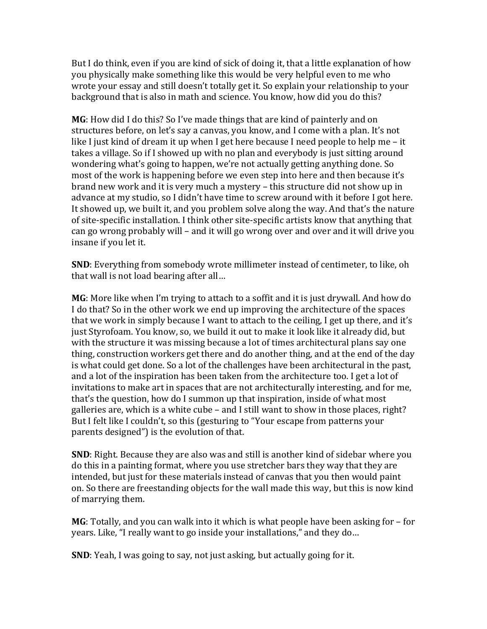But I do think, even if you are kind of sick of doing it, that a little explanation of how you physically make something like this would be very helpful even to me who wrote your essay and still doesn't totally get it. So explain your relationship to your background that is also in math and science. You know, how did you do this?

**MG**: How did I do this? So I've made things that are kind of painterly and on structures before, on let's say a canvas, you know, and I come with a plan. It's not like I just kind of dream it up when I get here because I need people to help me  $-$  it takes a village. So if I showed up with no plan and everybody is just sitting around wondering what's going to happen, we're not actually getting anything done. So most of the work is happening before we even step into here and then because it's brand new work and it is very much a mystery – this structure did not show up in advance at my studio, so I didn't have time to screw around with it before I got here. It showed up, we built it, and you problem solve along the way. And that's the nature of site-specific installation. I think other site-specific artists know that anything that can go wrong probably will – and it will go wrong over and over and it will drive you insane if you let it.

**SND**: Everything from somebody wrote millimeter instead of centimeter, to like, oh that wall is not load bearing after all...

**MG**: More like when I'm trying to attach to a soffit and it is just drywall. And how do I do that? So in the other work we end up improving the architecture of the spaces that we work in simply because I want to attach to the ceiling, I get up there, and it's just Styrofoam. You know, so, we build it out to make it look like it already did, but with the structure it was missing because a lot of times architectural plans say one thing, construction workers get there and do another thing, and at the end of the day is what could get done. So a lot of the challenges have been architectural in the past, and a lot of the inspiration has been taken from the architecture too. I get a lot of invitations to make art in spaces that are not architecturally interesting, and for me, that's the question, how do I summon up that inspiration, inside of what most galleries are, which is a white cube  $-$  and I still want to show in those places, right? But I felt like I couldn't, so this (gesturing to "Your escape from patterns your parents designed") is the evolution of that.

**SND**: Right. Because they are also was and still is another kind of sidebar where you do this in a painting format, where you use stretcher bars they way that they are intended, but just for these materials instead of canvas that you then would paint on. So there are freestanding objects for the wall made this way, but this is now kind of marrying them.

**MG**: Totally, and you can walk into it which is what people have been asking for  $-$  for years. Like, "I really want to go inside your installations," and they do...

**SND**: Yeah, I was going to say, not just asking, but actually going for it.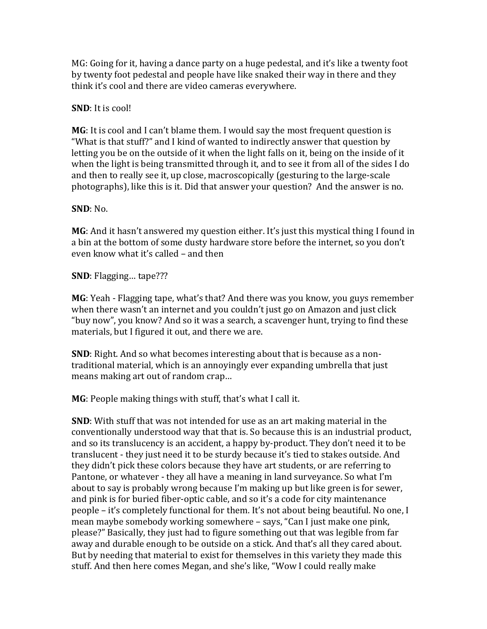MG: Going for it, having a dance party on a huge pedestal, and it's like a twenty foot by twenty foot pedestal and people have like snaked their way in there and they think it's cool and there are video cameras everywhere.

### **SND**: It is cool!

**MG**: It is cool and I can't blame them. I would say the most frequent question is "What is that stuff?" and I kind of wanted to indirectly answer that question by letting you be on the outside of it when the light falls on it, being on the inside of it when the light is being transmitted through it, and to see it from all of the sides I do and then to really see it, up close, macroscopically (gesturing to the large-scale photographs), like this is it. Did that answer your question? And the answer is no.

#### **SND**: No.

**MG**: And it hasn't answered my question either. It's just this mystical thing I found in a bin at the bottom of some dusty hardware store before the internet, so you don't even know what it's called – and then

**SND**: Flagging... tape???

**MG**: Yeah - Flagging tape, what's that? And there was you know, you guys remember when there wasn't an internet and you couldn't just go on Amazon and just click "buy now", you know? And so it was a search, a scavenger hunt, trying to find these materials, but I figured it out, and there we are.

**SND**: Right. And so what becomes interesting about that is because as a nontraditional material, which is an annoyingly ever expanding umbrella that just means making art out of random crap...

**MG**: People making things with stuff, that's what I call it.

**SND**: With stuff that was not intended for use as an art making material in the conventionally understood way that that is. So because this is an industrial product, and so its translucency is an accident, a happy by-product. They don't need it to be translucent - they just need it to be sturdy because it's tied to stakes outside. And they didn't pick these colors because they have art students, or are referring to Pantone, or whatever - they all have a meaning in land surveyance. So what I'm about to say is probably wrong because I'm making up but like green is for sewer, and pink is for buried fiber-optic cable, and so it's a code for city maintenance people – it's completely functional for them. It's not about being beautiful. No one, I mean maybe somebody working somewhere – says, "Can I just make one pink, please?" Basically, they just had to figure something out that was legible from far away and durable enough to be outside on a stick. And that's all they cared about. But by needing that material to exist for themselves in this variety they made this stuff. And then here comes Megan, and she's like, "Wow I could really make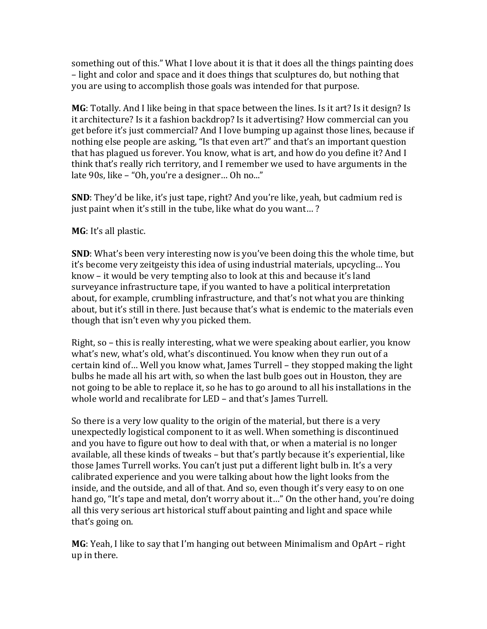something out of this." What I love about it is that it does all the things painting does – light and color and space and it does things that sculptures do, but nothing that you are using to accomplish those goals was intended for that purpose.

**MG**: Totally. And I like being in that space between the lines. Is it art? Is it design? Is it architecture? Is it a fashion backdrop? Is it advertising? How commercial can you get before it's just commercial? And I love bumping up against those lines, because if nothing else people are asking, "Is that even art?" and that's an important question that has plagued us forever. You know, what is art, and how do you define it? And I think that's really rich territory, and I remember we used to have arguments in the late 90s, like – "Oh, you're a designer... Oh no..."

**SND**: They'd be like, it's just tape, right? And you're like, yeah, but cadmium red is just paint when it's still in the tube, like what do you want...?

**MG**: It's all plastic.

**SND**: What's been very interesting now is you've been doing this the whole time, but it's become very zeitgeisty this idea of using industrial materials, upcycling... You know  $-$  it would be very tempting also to look at this and because it's land surveyance infrastructure tape, if you wanted to have a political interpretation about, for example, crumbling infrastructure, and that's not what you are thinking about, but it's still in there. Just because that's what is endemic to the materials even though that isn't even why you picked them.

Right, so  $-$  this is really interesting, what we were speaking about earlier, you know what's new, what's old, what's discontinued. You know when they run out of a certain kind of... Well you know what, James Turrell – they stopped making the light bulbs he made all his art with, so when the last bulb goes out in Houston, they are not going to be able to replace it, so he has to go around to all his installations in the whole world and recalibrate for LED – and that's James Turrell.

So there is a very low quality to the origin of the material, but there is a very unexpectedly logistical component to it as well. When something is discontinued and you have to figure out how to deal with that, or when a material is no longer available, all these kinds of tweaks - but that's partly because it's experiential, like those James Turrell works. You can't just put a different light bulb in. It's a very calibrated experience and you were talking about how the light looks from the inside, and the outside, and all of that. And so, even though it's very easy to on one hand go, "It's tape and metal, don't worry about it..." On the other hand, you're doing all this very serious art historical stuff about painting and light and space while that's going on.

**MG**: Yeah, I like to say that I'm hanging out between Minimalism and OpArt – right up in there.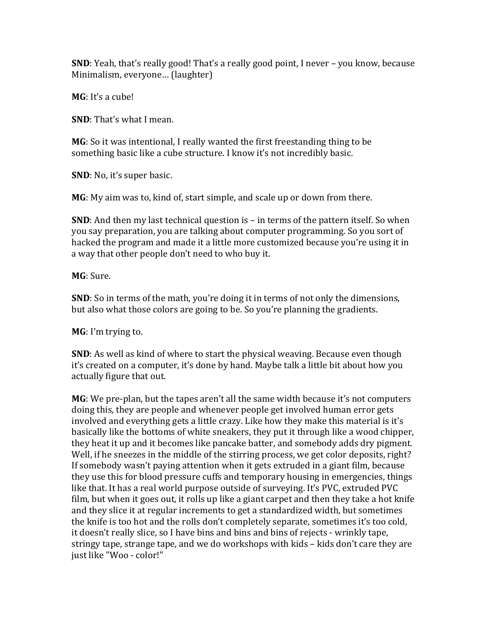**SND**: Yeah, that's really good! That's a really good point, I never – you know, because Minimalism, everyone... (laughter)

**MG**: It's a cube!

**SND**: That's what I mean.

**MG**: So it was intentional, I really wanted the first freestanding thing to be something basic like a cube structure. I know it's not incredibly basic.

**SND**: No, it's super basic.

**MG**: My aim was to, kind of, start simple, and scale up or down from there.

**SND**: And then my last technical question is – in terms of the pattern itself. So when you say preparation, you are talking about computer programming. So you sort of hacked the program and made it a little more customized because you're using it in a way that other people don't need to who buy it.

**MG**: Sure. 

**SND**: So in terms of the math, you're doing it in terms of not only the dimensions, but also what those colors are going to be. So you're planning the gradients.

**MG**: I'm trying to.

**SND**: As well as kind of where to start the physical weaving. Because even though it's created on a computer, it's done by hand. Maybe talk a little bit about how you actually figure that out.

**MG**: We pre-plan, but the tapes aren't all the same width because it's not computers doing this, they are people and whenever people get involved human error gets involved and everything gets a little crazy. Like how they make this material is it's basically like the bottoms of white sneakers, they put it through like a wood chipper, they heat it up and it becomes like pancake batter, and somebody adds dry pigment. Well, if he sneezes in the middle of the stirring process, we get color deposits, right? If somebody wasn't paying attention when it gets extruded in a giant film, because they use this for blood pressure cuffs and temporary housing in emergencies, things like that. It has a real world purpose outside of surveying. It's PVC, extruded PVC film, but when it goes out, it rolls up like a giant carpet and then they take a hot knife and they slice it at regular increments to get a standardized width, but sometimes the knife is too hot and the rolls don't completely separate, sometimes it's too cold, it doesn't really slice, so I have bins and bins and bins of rejects - wrinkly tape, stringy tape, strange tape, and we do workshops with kids – kids don't care they are just like "Woo - color!"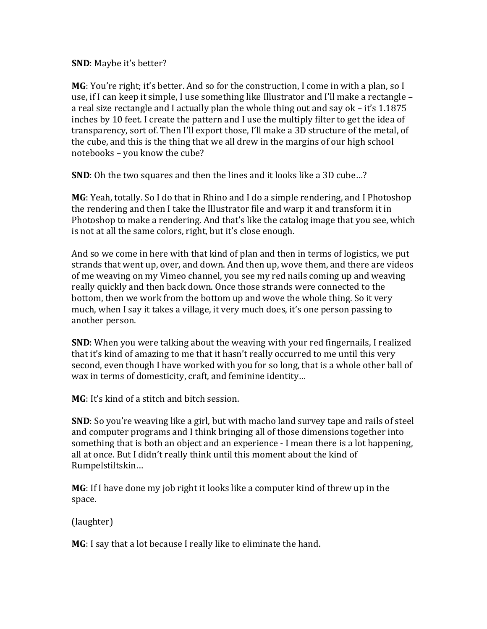**SND**: Maybe it's better?

**MG**: You're right; it's better. And so for the construction, I come in with a plan, so I use, if I can keep it simple, I use something like Illustrator and I'll make a rectangle – a real size rectangle and I actually plan the whole thing out and say ok  $-$  it's 1.1875 inches by 10 feet. I create the pattern and I use the multiply filter to get the idea of transparency, sort of. Then I'll export those, I'll make a 3D structure of the metal, of the cube, and this is the thing that we all drew in the margins of our high school notebooks - you know the cube?

**SND**: Oh the two squares and then the lines and it looks like a 3D cube...?

**MG**: Yeah, totally. So I do that in Rhino and I do a simple rendering, and I Photoshop the rendering and then I take the Illustrator file and warp it and transform it in Photoshop to make a rendering. And that's like the catalog image that you see, which is not at all the same colors, right, but it's close enough.

And so we come in here with that kind of plan and then in terms of logistics, we put strands that went up, over, and down. And then up, wove them, and there are videos of me weaving on my Vimeo channel, you see my red nails coming up and weaving really quickly and then back down. Once those strands were connected to the bottom, then we work from the bottom up and wove the whole thing. So it very much, when I say it takes a village, it very much does, it's one person passing to another person.

**SND**: When you were talking about the weaving with your red fingernails, I realized that it's kind of amazing to me that it hasn't really occurred to me until this very second, even though I have worked with you for so long, that is a whole other ball of wax in terms of domesticity, craft, and feminine identity...

**MG**: It's kind of a stitch and bitch session.

**SND**: So you're weaving like a girl, but with macho land survey tape and rails of steel and computer programs and I think bringing all of those dimensions together into something that is both an object and an experience - I mean there is a lot happening, all at once. But I didn't really think until this moment about the kind of Rumpelstiltskin…

**MG**: If I have done my job right it looks like a computer kind of threw up in the space. 

(laughter)

**MG**: I say that a lot because I really like to eliminate the hand.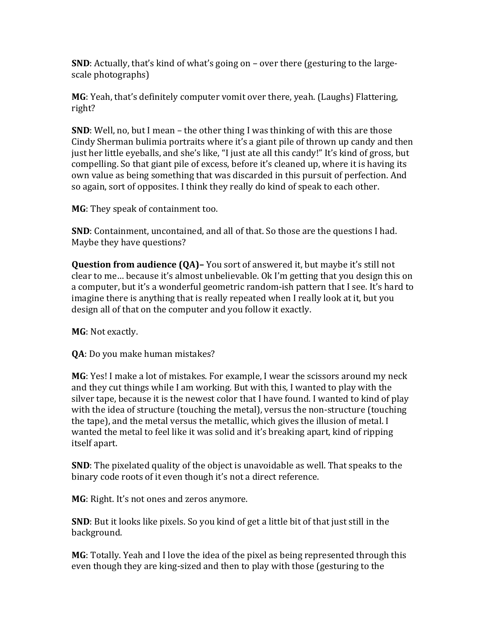**SND**: Actually, that's kind of what's going on – over there (gesturing to the largescale photographs)

**MG**: Yeah, that's definitely computer vomit over there, yeah. (Laughs) Flattering, right? 

**SND**: Well, no, but I mean – the other thing I was thinking of with this are those Cindy Sherman bulimia portraits where it's a giant pile of thrown up candy and then just her little eyeballs, and she's like, "I just ate all this candy!" It's kind of gross, but compelling. So that giant pile of excess, before it's cleaned up, where it is having its own value as being something that was discarded in this pursuit of perfection. And so again, sort of opposites. I think they really do kind of speak to each other.

**MG**: They speak of containment too.

**SND**: Containment, uncontained, and all of that. So those are the questions I had. Maybe they have questions?

**Question from audience (QA)–** You sort of answered it, but maybe it's still not clear to me... because it's almost unbelievable. Ok I'm getting that you design this on a computer, but it's a wonderful geometric random-ish pattern that I see. It's hard to imagine there is anything that is really repeated when I really look at it, but you design all of that on the computer and you follow it exactly.

**MG**: Not exactly.

**QA**: Do you make human mistakes?

**MG**: Yes! I make a lot of mistakes. For example, I wear the scissors around my neck and they cut things while I am working. But with this, I wanted to play with the silver tape, because it is the newest color that I have found. I wanted to kind of play with the idea of structure (touching the metal), versus the non-structure (touching the tape), and the metal versus the metallic, which gives the illusion of metal. I wanted the metal to feel like it was solid and it's breaking apart, kind of ripping itself apart.

**SND**: The pixelated quality of the object is unavoidable as well. That speaks to the binary code roots of it even though it's not a direct reference.

**MG**: Right. It's not ones and zeros anymore.

**SND**: But it looks like pixels. So you kind of get a little bit of that just still in the background. 

**MG**: Totally. Yeah and I love the idea of the pixel as being represented through this even though they are king-sized and then to play with those (gesturing to the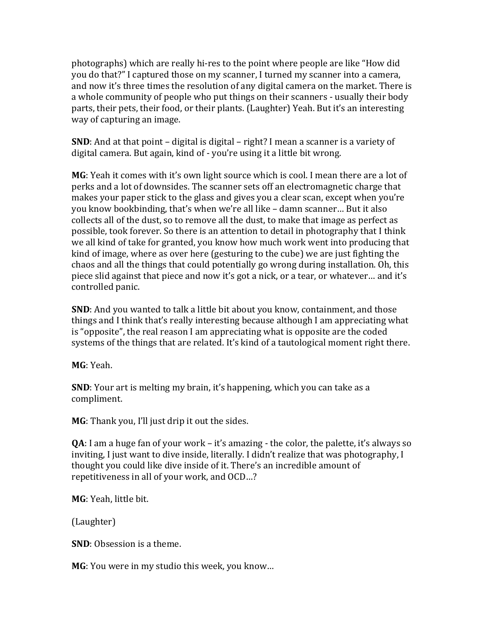photographs) which are really hi-res to the point where people are like "How did you do that?" I captured those on my scanner, I turned my scanner into a camera, and now it's three times the resolution of any digital camera on the market. There is a whole community of people who put things on their scanners - usually their body parts, their pets, their food, or their plants. (Laughter) Yeah. But it's an interesting way of capturing an image.

**SND**: And at that point – digital is digital – right? I mean a scanner is a variety of digital camera. But again, kind of - you're using it a little bit wrong.

**MG**: Yeah it comes with it's own light source which is cool. I mean there are a lot of perks and a lot of downsides. The scanner sets off an electromagnetic charge that makes your paper stick to the glass and gives you a clear scan, except when you're you know bookbinding, that's when we're all like – damn scanner... But it also collects all of the dust, so to remove all the dust, to make that image as perfect as possible, took forever. So there is an attention to detail in photography that I think we all kind of take for granted, you know how much work went into producing that kind of image, where as over here (gesturing to the cube) we are just fighting the chaos and all the things that could potentially go wrong during installation. Oh, this piece slid against that piece and now it's got a nick, or a tear, or whatever... and it's controlled panic.

**SND**: And you wanted to talk a little bit about you know, containment, and those things and I think that's really interesting because although I am appreciating what is "opposite", the real reason I am appreciating what is opposite are the coded systems of the things that are related. It's kind of a tautological moment right there.

**MG**: Yeah.

**SND**: Your art is melting my brain, it's happening, which you can take as a compliment. 

**MG**: Thank you, I'll just drip it out the sides.

**QA**: I am a huge fan of your work – it's amazing - the color, the palette, it's always so inviting, I just want to dive inside, literally. I didn't realize that was photography, I thought you could like dive inside of it. There's an incredible amount of repetitiveness in all of your work, and OCD...?

**MG**: Yeah, little bit.

(Laughter)

**SND**: Obsession is a theme.

**MG**: You were in my studio this week, you know...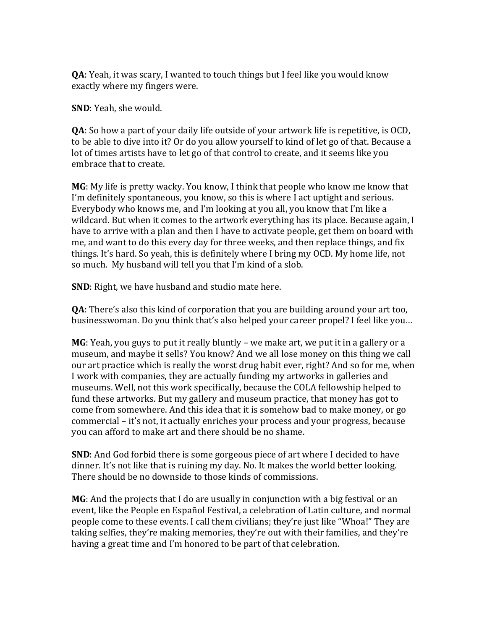**QA**: Yeah, it was scary, I wanted to touch things but I feel like you would know exactly where my fingers were.

**SND**: Yeah, she would.

**QA**: So how a part of your daily life outside of your artwork life is repetitive, is OCD, to be able to dive into it? Or do you allow yourself to kind of let go of that. Because a lot of times artists have to let go of that control to create, and it seems like you embrace that to create.

MG: My life is pretty wacky. You know, I think that people who know me know that I'm definitely spontaneous, you know, so this is where I act uptight and serious. Everybody who knows me, and I'm looking at you all, you know that I'm like a wildcard. But when it comes to the artwork everything has its place. Because again, I have to arrive with a plan and then I have to activate people, get them on board with me, and want to do this every day for three weeks, and then replace things, and fix things. It's hard. So yeah, this is definitely where I bring my OCD. My home life, not so much. My husband will tell you that I'm kind of a slob.

**SND**: Right, we have husband and studio mate here.

**QA**: There's also this kind of corporation that you are building around your art too, businesswoman. Do you think that's also helped your career propel? I feel like you...

**MG**: Yeah, you guys to put it really bluntly – we make art, we put it in a gallery or a museum, and maybe it sells? You know? And we all lose money on this thing we call our art practice which is really the worst drug habit ever, right? And so for me, when I work with companies, they are actually funding my artworks in galleries and museums. Well, not this work specifically, because the COLA fellowship helped to fund these artworks. But my gallery and museum practice, that money has got to come from somewhere. And this idea that it is somehow bad to make money, or go commercial – it's not, it actually enriches your process and your progress, because you can afford to make art and there should be no shame.

**SND**: And God forbid there is some gorgeous piece of art where I decided to have dinner. It's not like that is ruining my day. No. It makes the world better looking. There should be no downside to those kinds of commissions.

**MG**: And the projects that I do are usually in conjunction with a big festival or an event, like the People en Español Festival, a celebration of Latin culture, and normal people come to these events. I call them civilians; they're just like "Whoa!" They are taking selfies, they're making memories, they're out with their families, and they're having a great time and I'm honored to be part of that celebration.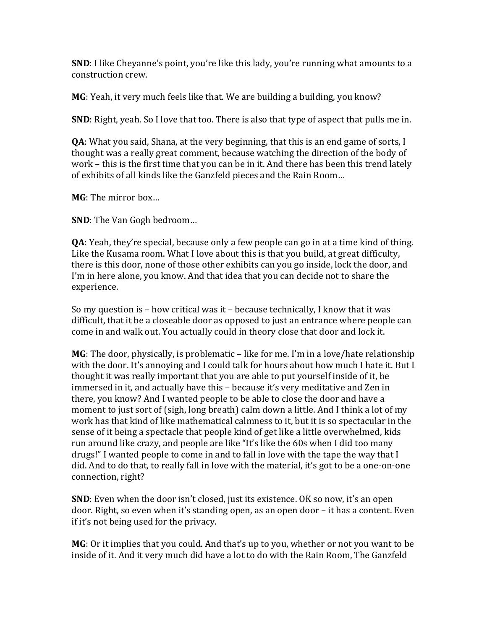**SND**: I like Cheyanne's point, you're like this lady, you're running what amounts to a construction crew.

**MG**: Yeah, it very much feels like that. We are building a building, you know?

**SND**: Right, yeah. So I love that too. There is also that type of aspect that pulls me in.

**QA**: What you said, Shana, at the very beginning, that this is an end game of sorts, I thought was a really great comment, because watching the direction of the body of work – this is the first time that you can be in it. And there has been this trend lately of exhibits of all kinds like the Ganzfeld pieces and the Rain Room...

**MG**: The mirror box...

**SND**: The Van Gogh bedroom...

**QA**: Yeah, they're special, because only a few people can go in at a time kind of thing. Like the Kusama room. What I love about this is that you build, at great difficulty, there is this door, none of those other exhibits can you go inside, lock the door, and I'm in here alone, you know. And that idea that you can decide not to share the experience. 

So my question is  $-$  how critical was it  $-$  because technically, I know that it was difficult, that it be a closeable door as opposed to just an entrance where people can come in and walk out. You actually could in theory close that door and lock it.

**MG**: The door, physically, is problematic – like for me. I'm in a love/hate relationship with the door. It's annoying and I could talk for hours about how much I hate it. But I thought it was really important that you are able to put yourself inside of it, be immersed in it, and actually have this – because it's very meditative and Zen in there, you know? And I wanted people to be able to close the door and have a moment to just sort of (sigh, long breath) calm down a little. And I think a lot of my work has that kind of like mathematical calmness to it, but it is so spectacular in the sense of it being a spectacle that people kind of get like a little overwhelmed, kids run around like crazy, and people are like "It's like the 60s when I did too many drugs!" I wanted people to come in and to fall in love with the tape the way that I did. And to do that, to really fall in love with the material, it's got to be a one-on-one connection, right?

**SND**: Even when the door isn't closed, just its existence. OK so now, it's an open door. Right, so even when it's standing open, as an open door – it has a content. Even if it's not being used for the privacy.

**MG**: Or it implies that you could. And that's up to you, whether or not you want to be inside of it. And it very much did have a lot to do with the Rain Room, The Ganzfeld